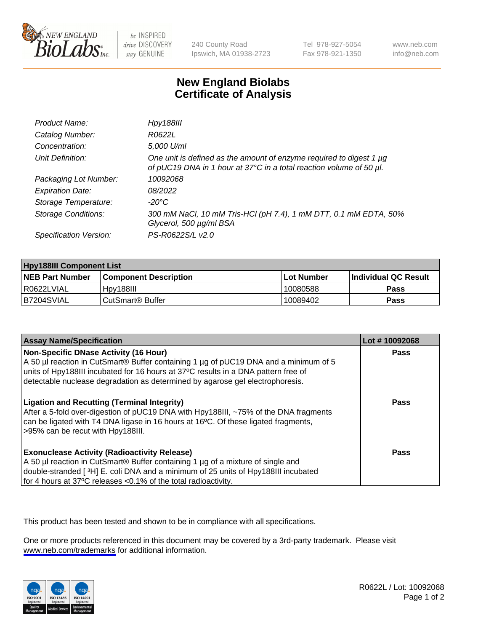

be INSPIRED drive DISCOVERY stay GENUINE

240 County Road Ipswich, MA 01938-2723 Tel 978-927-5054 Fax 978-921-1350

www.neb.com info@neb.com

## **New England Biolabs Certificate of Analysis**

| Product Name:              | <b>Hpy188III</b>                                                                                                                           |
|----------------------------|--------------------------------------------------------------------------------------------------------------------------------------------|
| Catalog Number:            | R0622L                                                                                                                                     |
| Concentration:             | 5,000 U/ml                                                                                                                                 |
| Unit Definition:           | One unit is defined as the amount of enzyme required to digest 1 µg<br>of pUC19 DNA in 1 hour at 37°C in a total reaction volume of 50 µl. |
| Packaging Lot Number:      | 10092068                                                                                                                                   |
| <b>Expiration Date:</b>    | 08/2022                                                                                                                                    |
| Storage Temperature:       | -20°C                                                                                                                                      |
| <b>Storage Conditions:</b> | 300 mM NaCl, 10 mM Tris-HCl (pH 7.4), 1 mM DTT, 0.1 mM EDTA, 50%<br>Glycerol, 500 µg/ml BSA                                                |
| Specification Version:     | PS-R0622S/L v2.0                                                                                                                           |

| <b>Hpy188III Component List</b> |                         |             |                             |  |
|---------------------------------|-------------------------|-------------|-----------------------------|--|
| <b>NEB Part Number</b>          | l Component Description | ⊺Lot Number | <b>Individual QC Result</b> |  |
| I R0622LVIAL                    | Hpy188III               | 10080588    | Pass                        |  |
| B7204SVIAL                      | l CutSmart® Buffer      | 10089402    | Pass                        |  |

| <b>Assay Name/Specification</b>                                                                                                                                                                                                                                                                             | Lot #10092068 |
|-------------------------------------------------------------------------------------------------------------------------------------------------------------------------------------------------------------------------------------------------------------------------------------------------------------|---------------|
| <b>Non-Specific DNase Activity (16 Hour)</b><br>A 50 µl reaction in CutSmart® Buffer containing 1 µg of pUC19 DNA and a minimum of 5<br>units of Hpy188III incubated for 16 hours at 37°C results in a DNA pattern free of<br>detectable nuclease degradation as determined by agarose gel electrophoresis. | Pass          |
| <b>Ligation and Recutting (Terminal Integrity)</b><br>After a 5-fold over-digestion of pUC19 DNA with Hpy188III, ~75% of the DNA fragments<br>can be ligated with T4 DNA ligase in 16 hours at 16°C. Of these ligated fragments,<br>>95% can be recut with Hpy188III.                                       | <b>Pass</b>   |
| <b>Exonuclease Activity (Radioactivity Release)</b><br>A 50 µl reaction in CutSmart® Buffer containing 1 µg of a mixture of single and<br>double-stranded [3H] E. coli DNA and a minimum of 25 units of Hpy188III incubated<br>for 4 hours at 37°C releases < 0.1% of the total radioactivity.              | <b>Pass</b>   |

This product has been tested and shown to be in compliance with all specifications.

One or more products referenced in this document may be covered by a 3rd-party trademark. Please visit <www.neb.com/trademarks>for additional information.